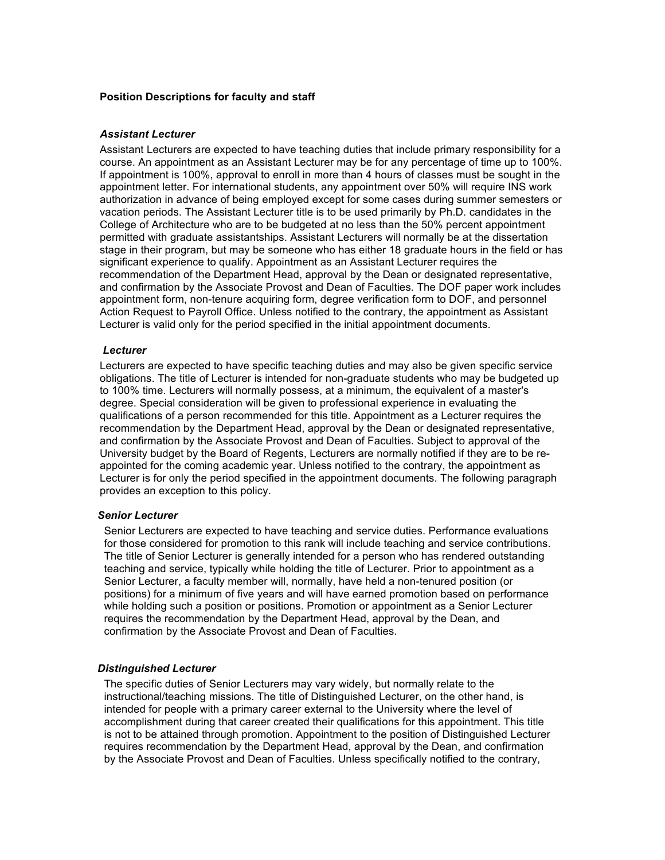## **Position Descriptions for faculty and staff**

## *Assistant Lecturer*

Assistant Lecturers are expected to have teaching duties that include primary responsibility for a course. An appointment as an Assistant Lecturer may be for any percentage of time up to 100%. If appointment is 100%, approval to enroll in more than 4 hours of classes must be sought in the appointment letter. For international students, any appointment over 50% will require INS work authorization in advance of being employed except for some cases during summer semesters or vacation periods. The Assistant Lecturer title is to be used primarily by Ph.D. candidates in the College of Architecture who are to be budgeted at no less than the 50% percent appointment permitted with graduate assistantships. Assistant Lecturers will normally be at the dissertation stage in their program, but may be someone who has either 18 graduate hours in the field or has significant experience to qualify. Appointment as an Assistant Lecturer requires the recommendation of the Department Head, approval by the Dean or designated representative, and confirmation by the Associate Provost and Dean of Faculties. The DOF paper work includes appointment form, non-tenure acquiring form, degree verification form to DOF, and personnel Action Request to Payroll Office. Unless notified to the contrary, the appointment as Assistant Lecturer is valid only for the period specified in the initial appointment documents.

## *Lecturer*

Lecturers are expected to have specific teaching duties and may also be given specific service obligations. The title of Lecturer is intended for non-graduate students who may be budgeted up to 100% time. Lecturers will normally possess, at a minimum, the equivalent of a master's degree. Special consideration will be given to professional experience in evaluating the qualifications of a person recommended for this title. Appointment as a Lecturer requires the recommendation by the Department Head, approval by the Dean or designated representative, and confirmation by the Associate Provost and Dean of Faculties. Subject to approval of the University budget by the Board of Regents, Lecturers are normally notified if they are to be reappointed for the coming academic year. Unless notified to the contrary, the appointment as Lecturer is for only the period specified in the appointment documents. The following paragraph provides an exception to this policy.

## *Senior Lecturer*

Senior Lecturers are expected to have teaching and service duties. Performance evaluations for those considered for promotion to this rank will include teaching and service contributions. The title of Senior Lecturer is generally intended for a person who has rendered outstanding teaching and service, typically while holding the title of Lecturer. Prior to appointment as a Senior Lecturer, a faculty member will, normally, have held a non-tenured position (or positions) for a minimum of five years and will have earned promotion based on performance while holding such a position or positions. Promotion or appointment as a Senior Lecturer requires the recommendation by the Department Head, approval by the Dean, and confirmation by the Associate Provost and Dean of Faculties.

## *Distinguished Lecturer*

The specific duties of Senior Lecturers may vary widely, but normally relate to the instructional/teaching missions. The title of Distinguished Lecturer, on the other hand, is intended for people with a primary career external to the University where the level of accomplishment during that career created their qualifications for this appointment. This title is not to be attained through promotion. Appointment to the position of Distinguished Lecturer requires recommendation by the Department Head, approval by the Dean, and confirmation by the Associate Provost and Dean of Faculties. Unless specifically notified to the contrary,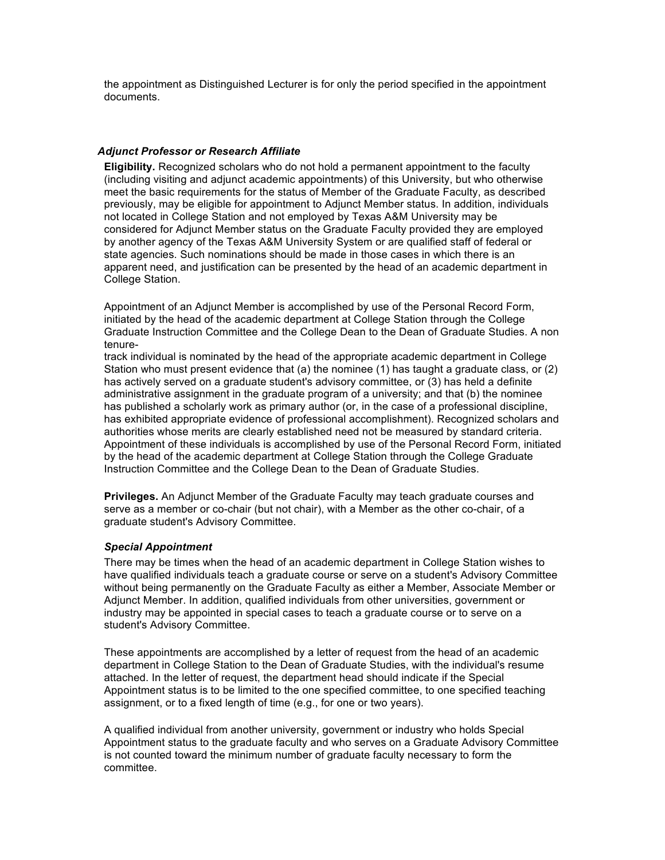the appointment as Distinguished Lecturer is for only the period specified in the appointment documents.

## *Adjunct Professor or Research Affiliate*

**Eligibility.** Recognized scholars who do not hold a permanent appointment to the faculty (including visiting and adjunct academic appointments) of this University, but who otherwise meet the basic requirements for the status of Member of the Graduate Faculty, as described previously, may be eligible for appointment to Adjunct Member status. In addition, individuals not located in College Station and not employed by Texas A&M University may be considered for Adjunct Member status on the Graduate Faculty provided they are employed by another agency of the Texas A&M University System or are qualified staff of federal or state agencies. Such nominations should be made in those cases in which there is an apparent need, and justification can be presented by the head of an academic department in College Station.

Appointment of an Adjunct Member is accomplished by use of the Personal Record Form, initiated by the head of the academic department at College Station through the College Graduate Instruction Committee and the College Dean to the Dean of Graduate Studies. A non tenure-

track individual is nominated by the head of the appropriate academic department in College Station who must present evidence that (a) the nominee (1) has taught a graduate class, or (2) has actively served on a graduate student's advisory committee, or (3) has held a definite administrative assignment in the graduate program of a university; and that (b) the nominee has published a scholarly work as primary author (or, in the case of a professional discipline, has exhibited appropriate evidence of professional accomplishment). Recognized scholars and authorities whose merits are clearly established need not be measured by standard criteria. Appointment of these individuals is accomplished by use of the Personal Record Form, initiated by the head of the academic department at College Station through the College Graduate Instruction Committee and the College Dean to the Dean of Graduate Studies.

**Privileges.** An Adjunct Member of the Graduate Faculty may teach graduate courses and serve as a member or co-chair (but not chair), with a Member as the other co-chair, of a graduate student's Advisory Committee.

# *Special Appointment*

There may be times when the head of an academic department in College Station wishes to have qualified individuals teach a graduate course or serve on a student's Advisory Committee without being permanently on the Graduate Faculty as either a Member, Associate Member or Adjunct Member. In addition, qualified individuals from other universities, government or industry may be appointed in special cases to teach a graduate course or to serve on a student's Advisory Committee.

These appointments are accomplished by a letter of request from the head of an academic department in College Station to the Dean of Graduate Studies, with the individual's resume attached. In the letter of request, the department head should indicate if the Special Appointment status is to be limited to the one specified committee, to one specified teaching assignment, or to a fixed length of time (e.g., for one or two years).

A qualified individual from another university, government or industry who holds Special Appointment status to the graduate faculty and who serves on a Graduate Advisory Committee is not counted toward the minimum number of graduate faculty necessary to form the committee.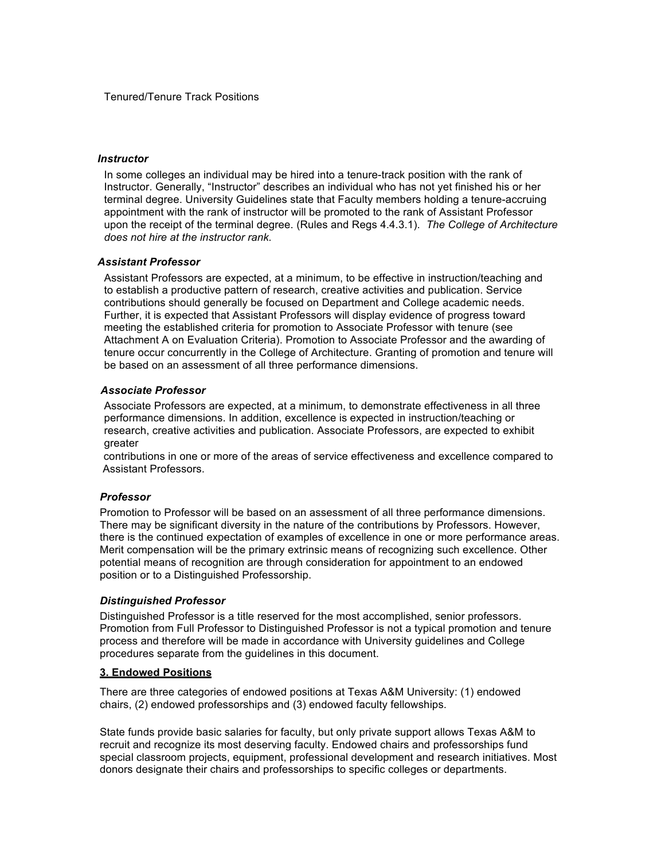## *Instructor*

In some colleges an individual may be hired into a tenure-track position with the rank of Instructor. Generally, "Instructor" describes an individual who has not yet finished his or her terminal degree. University Guidelines state that Faculty members holding a tenure-accruing appointment with the rank of instructor will be promoted to the rank of Assistant Professor upon the receipt of the terminal degree. (Rules and Regs 4.4.3.1). *The College of Architecture does not hire at the instructor rank.*

# *Assistant Professor*

Assistant Professors are expected, at a minimum, to be effective in instruction/teaching and to establish a productive pattern of research, creative activities and publication. Service contributions should generally be focused on Department and College academic needs. Further, it is expected that Assistant Professors will display evidence of progress toward meeting the established criteria for promotion to Associate Professor with tenure (see Attachment A on Evaluation Criteria). Promotion to Associate Professor and the awarding of tenure occur concurrently in the College of Architecture. Granting of promotion and tenure will be based on an assessment of all three performance dimensions.

## *Associate Professor*

Associate Professors are expected, at a minimum, to demonstrate effectiveness in all three performance dimensions. In addition, excellence is expected in instruction/teaching or research, creative activities and publication. Associate Professors, are expected to exhibit greater

 contributions in one or more of the areas of service effectiveness and excellence compared to Assistant Professors.

## *Professor*

Promotion to Professor will be based on an assessment of all three performance dimensions. There may be significant diversity in the nature of the contributions by Professors. However, there is the continued expectation of examples of excellence in one or more performance areas. Merit compensation will be the primary extrinsic means of recognizing such excellence. Other potential means of recognition are through consideration for appointment to an endowed position or to a Distinguished Professorship.

## *Distinguished Professor*

Distinguished Professor is a title reserved for the most accomplished, senior professors. Promotion from Full Professor to Distinguished Professor is not a typical promotion and tenure process and therefore will be made in accordance with University guidelines and College procedures separate from the guidelines in this document.

## **3. Endowed Positions**

There are three categories of endowed positions at Texas A&M University: (1) endowed chairs, (2) endowed professorships and (3) endowed faculty fellowships.

State funds provide basic salaries for faculty, but only private support allows Texas A&M to recruit and recognize its most deserving faculty. Endowed chairs and professorships fund special classroom projects, equipment, professional development and research initiatives. Most donors designate their chairs and professorships to specific colleges or departments.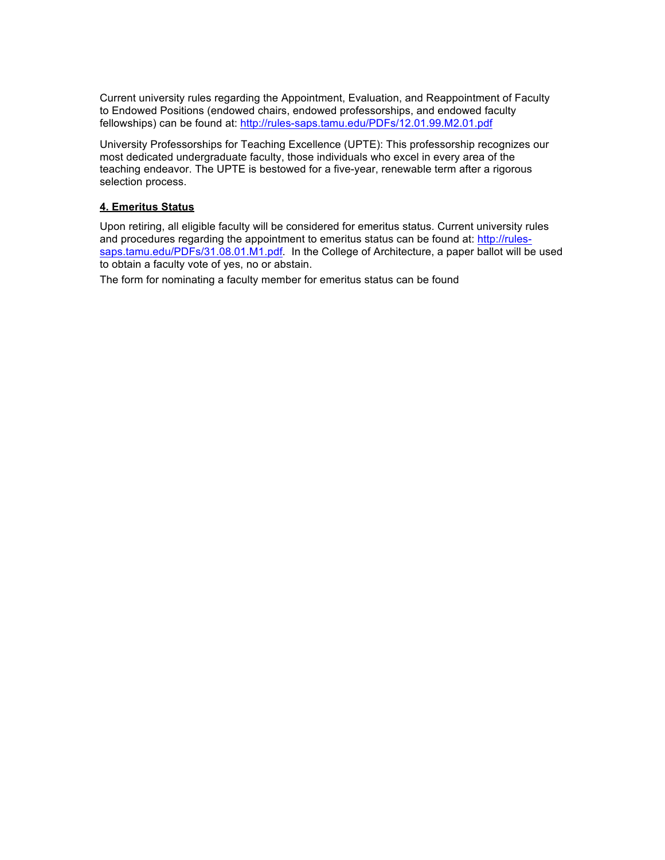Current university rules regarding the Appointment, Evaluation, and Reappointment of Faculty to Endowed Positions (endowed chairs, endowed professorships, and endowed faculty fellowships) can be found at: http://rules-saps.tamu.edu/PDFs/12.01.99.M2.01.pdf

University Professorships for Teaching Excellence (UPTE): This professorship recognizes our most dedicated undergraduate faculty, those individuals who excel in every area of the teaching endeavor. The UPTE is bestowed for a five-year, renewable term after a rigorous selection process.

## **4. Emeritus Status**

Upon retiring, all eligible faculty will be considered for emeritus status. Current university rules and procedures regarding the appointment to emeritus status can be found at: http://rulessaps.tamu.edu/PDFs/31.08.01.M1.pdf. In the College of Architecture, a paper ballot will be used to obtain a faculty vote of yes, no or abstain.

The form for nominating a faculty member for emeritus status can be found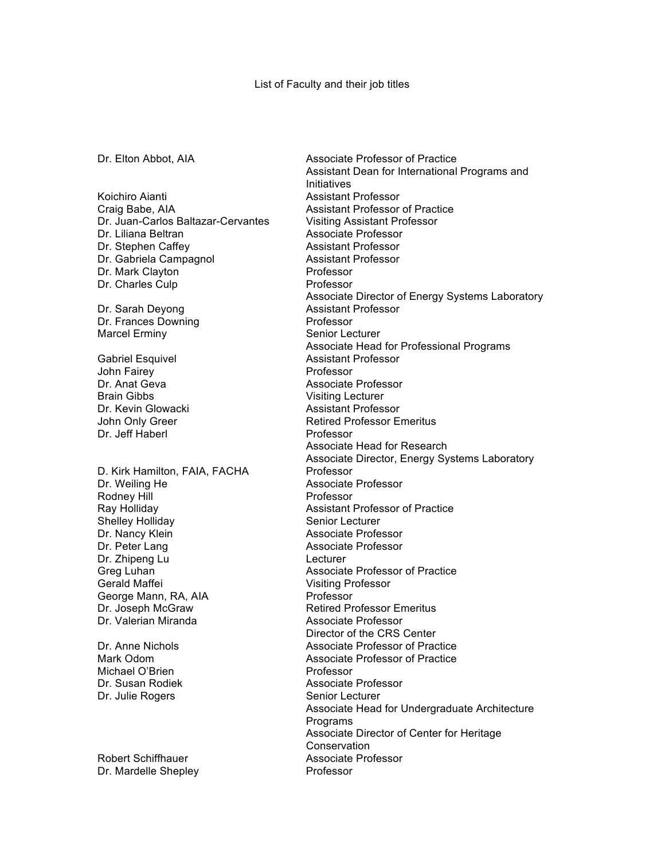## List of Faculty and their job titles

Koichiro Aianti **Assistant Professor** Assistant Professor Craig Babe, AIA Assistant Professor of Practice Dr. Juan-Carlos Baltazar-Cervantes Visiting Assistant Professor Dr. Stephen Caffey **Assistant Professor** Dr. Gabriela Campagnol **Assistant Professor** Dr. Mark Clayton **Professor** Dr. Charles Culp **Professor** Dr. Sarah Deyong **Assistant Professor** Dr. Frances Downing **Professor** Marcel Erminy **Senior Lecturer** Senior Lecturer Gabriel Esquivel **Assistant Professor** John Fairey **Professor** Dr. Anat Geva Associate Professor Brain Gibbs Visiting Lecturer Dr. Kevin Glowacki **Assistant Professor** John Only Greer **Netired Professor Emeritus** Dr. Jeff Haberl Professor D. Kirk Hamilton, FAIA, FACHA Professor Dr. Weiling He **Associate Professor** Rodney Hill **Rodney Hill** Professor Ray Holliday **Assistant Professor of Practice** Shelley Holliday **Shelley Holliday** Senior Lecturer Dr. Nancy Klein **Associate Professor** Dr. Peter Lang Associate Professor Dr. Zhipeng Lu Lecturer Greg Luhan **Associate Professor of Practice** Gerald Maffei **Visiting Professor** George Mann, RA, AIA **Professor** Dr. Joseph McGraw Retired Professor Emeritus Dr. Anne Nichols **Associate Professor of Practice** Mark Odom **Associate Professor of Practice** Michael O'Brien **Professor** Dr. Susan Rodiek **Associate Professor** Dr. Julie Rogers Senior Lecturer

Dr. Mardelle Shepley **Professor** 

Dr. Elton Abbot, AIA Associate Professor of Practice Assistant Dean for International Programs and Initiatives Associate Professor Associate Director of Energy Systems Laboratory Associate Head for Professional Programs Associate Head for Research Associate Director, Energy Systems Laboratory Associate Professor Director of the CRS Center Associate Head for Undergraduate Architecture Programs Associate Director of Center for Heritage Conservation Robert Schiffhauer **Associate Professor**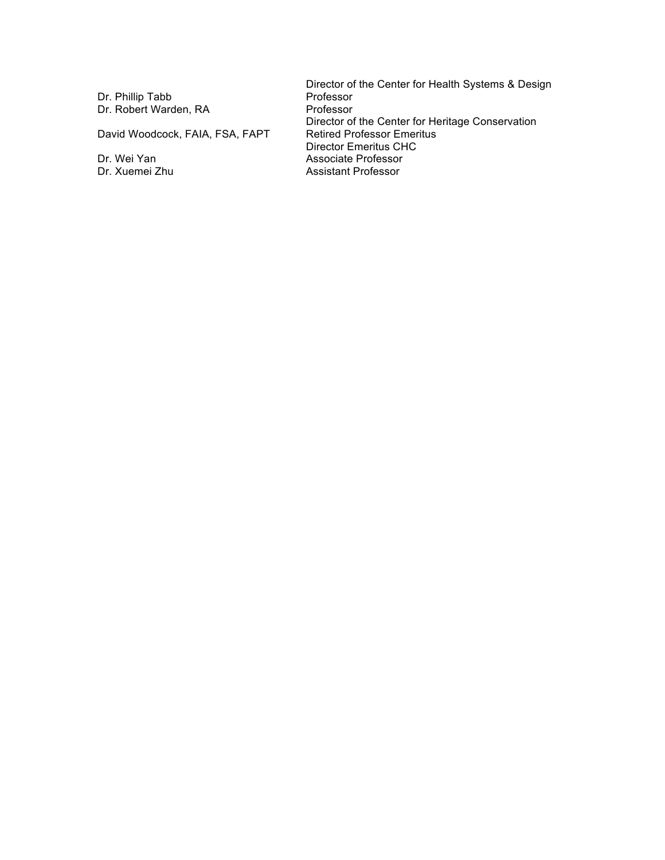Dr. Phillip Tabb **Professor**<br>Dr. Robert Warden, RA Professor Dr. Robert Warden, RA

David Woodcock, FAIA, FSA, FAPT

Director of the Center for Health Systems & Design Director of the Center for Heritage Conservation Director Emeritus CHC Dr. Wei Yan **Associate Professor**<br>
Dr. Xuemei Zhu **Assistant Professor** Assistant Professor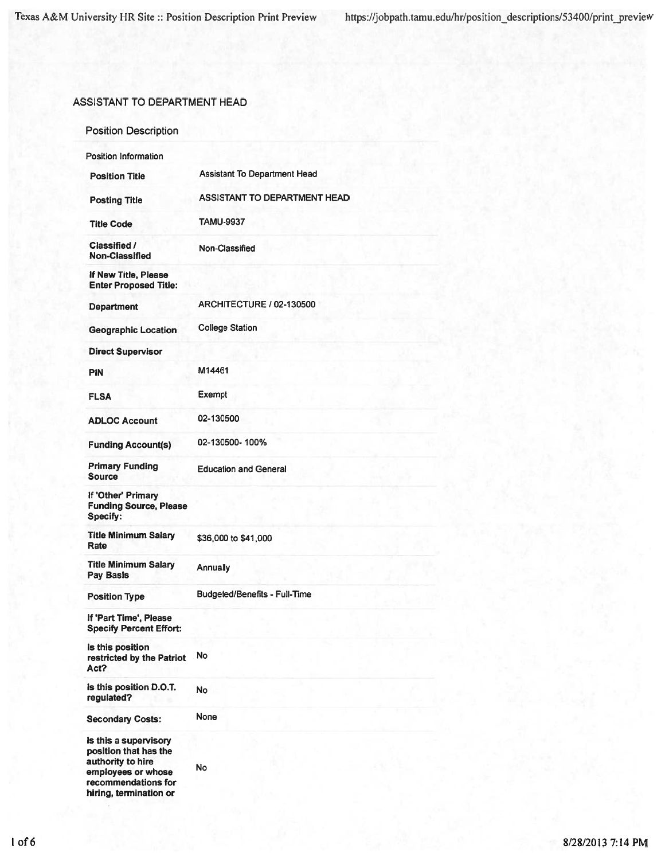# ASSISTANT TO DEPARTMENT HEAD

# **Position Description**

| Position Information                                                                                                                       |                                     |
|--------------------------------------------------------------------------------------------------------------------------------------------|-------------------------------------|
| <b>Position Title</b>                                                                                                                      | <b>Assistant To Department Head</b> |
| <b>Posting Title</b>                                                                                                                       | <b>ASSISTANT TO DEPARTMENT HEAD</b> |
| <b>Titie Code</b>                                                                                                                          | <b>TAMU-9937</b>                    |
| Classified /<br>Non-Classified                                                                                                             | Non-Classified                      |
| If New Title, Please<br><b>Enter Proposed Title:</b>                                                                                       |                                     |
| <b>Department</b>                                                                                                                          | <b>ARCHITECTURE / 02-130500</b>     |
| <b>Geographic Location</b>                                                                                                                 | <b>College Station</b>              |
| <b>Direct Supervisor</b>                                                                                                                   |                                     |
| <b>PIN</b>                                                                                                                                 | M14461                              |
| <b>FLSA</b>                                                                                                                                | Exempt                              |
| <b>ADLOC Account</b>                                                                                                                       | 02-130500                           |
| <b>Funding Account(s)</b>                                                                                                                  | 02-130500-100%                      |
| <b>Primary Funding</b><br><b>Source</b>                                                                                                    | <b>Education and General</b>        |
| If 'Other' Primary<br><b>Funding Source, Please</b><br>Specify:                                                                            |                                     |
| <b>Title Minimum Salary</b><br>Rate                                                                                                        | \$36,000 to \$41,000                |
| <b>Title Minimum Salary</b><br><b>Pay Basis</b>                                                                                            | Annually                            |
| <b>Position Type</b>                                                                                                                       | Budgeted/Benefits - Full-Time       |
| If 'Part Time', Please<br><b>Specify Percent Effort:</b>                                                                                   |                                     |
| Is this position<br>restricted by the Patriot<br>Act?                                                                                      | No                                  |
| Is this position D.O.T.<br>regulated?                                                                                                      | No                                  |
| <b>Secondary Costs:</b>                                                                                                                    | None                                |
| Is this a supervisory<br>position that has the<br>authority to hire<br>employees or whose<br>recommendations for<br>hiring, termination or | No                                  |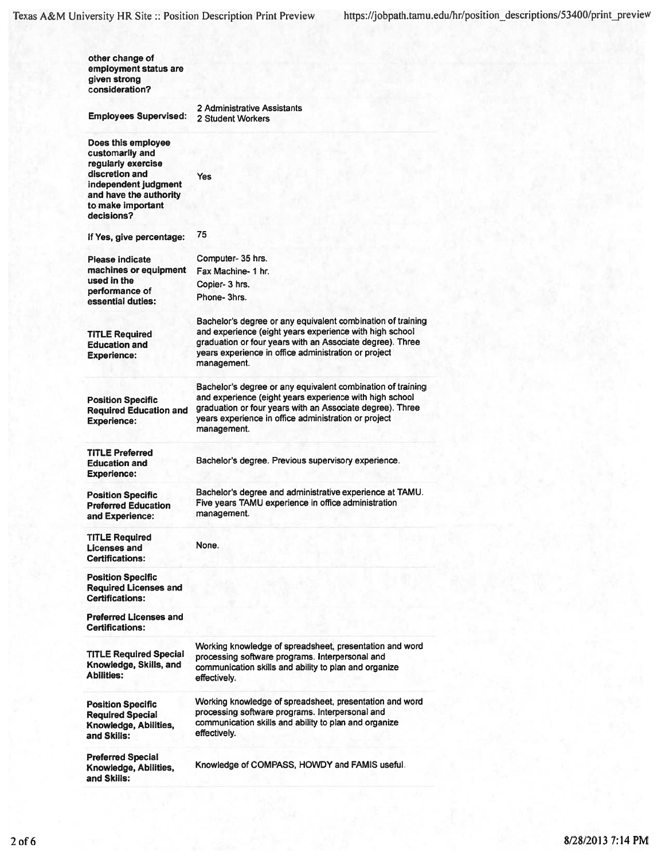| other change of                               |                                                                                                                      |
|-----------------------------------------------|----------------------------------------------------------------------------------------------------------------------|
| employment status are<br>given strong         |                                                                                                                      |
| consideration?                                |                                                                                                                      |
|                                               |                                                                                                                      |
| <b>Employees Supervised:</b>                  | 2 Administrative Assistants<br>2 Student Workers                                                                     |
| Does this employee                            |                                                                                                                      |
| customarlly and                               |                                                                                                                      |
| regularly exercise                            |                                                                                                                      |
| discretion and                                | Yes                                                                                                                  |
| independent judgment                          |                                                                                                                      |
| and have the authority                        |                                                                                                                      |
| to make important                             |                                                                                                                      |
| decisions?                                    |                                                                                                                      |
|                                               | 75                                                                                                                   |
| If Yes, give percentage:                      |                                                                                                                      |
| <b>Piease indicate</b>                        | Computer-35 hrs.                                                                                                     |
| machines or equipment                         | Fax Machine- 1 hr.                                                                                                   |
| used in the                                   |                                                                                                                      |
| performance of                                | Copier- 3 hrs.                                                                                                       |
| essential duties:                             | Phone-3hrs.                                                                                                          |
|                                               |                                                                                                                      |
|                                               | Bachelor's degree or any equivalent combination of training                                                          |
| <b>TITLE Required</b>                         | and experience (eight years experience with high school                                                              |
| <b>Education and</b>                          | graduation or four years with an Associate degree). Three                                                            |
| <b>Experience:</b>                            | years experience in office administration or project                                                                 |
|                                               | management.                                                                                                          |
|                                               |                                                                                                                      |
|                                               | Bachelor's degree or any equivalent combination of training                                                          |
| <b>Position Specific</b>                      | and experience (eight years experience with high school<br>graduation or four years with an Associate degree). Three |
| <b>Required Education and</b>                 | years experience in office administration or project                                                                 |
| <b>Experience:</b>                            | management.                                                                                                          |
|                                               |                                                                                                                      |
| <b>TITLE Preferred</b>                        |                                                                                                                      |
| <b>Education and</b>                          | Bachelor's degree. Previous supervisory experience.                                                                  |
| <b>Experience:</b>                            |                                                                                                                      |
|                                               |                                                                                                                      |
| <b>Position Specific</b>                      | Bachelor's degree and administrative experience at TAMU.                                                             |
| <b>Preferred Education</b>                    | Five years TAMU experience in office administration                                                                  |
| and Experience:                               | management.                                                                                                          |
|                                               |                                                                                                                      |
| <b>TITLE Required</b>                         | None.                                                                                                                |
| <b>Licenses and</b><br><b>Certifications:</b> |                                                                                                                      |
|                                               |                                                                                                                      |
| <b>Position Specific</b>                      |                                                                                                                      |
| <b>Required Licenses and</b>                  |                                                                                                                      |
| <b>Certifications:</b>                        |                                                                                                                      |
|                                               |                                                                                                                      |
| <b>Preferred Licenses and</b>                 |                                                                                                                      |
| <b>Certifications:</b>                        |                                                                                                                      |
|                                               | Working knowledge of spreadsheet, presentation and word                                                              |
| <b>TITLE Required Special</b>                 | processing software programs. Interpersonal and                                                                      |
| Knowledge, Skills, and                        | communication skills and ability to plan and organize                                                                |
| <b>Abilities:</b>                             | effectively.                                                                                                         |
|                                               |                                                                                                                      |
| <b>Position Specific</b>                      | Working knowledge of spreadsheet, presentation and word                                                              |
| <b>Required Special</b>                       | processing software programs. Interpersonal and                                                                      |
| Knowledge, Abilities,                         | communication skills and ability to plan and organize                                                                |
| and Skills:                                   | effectively.                                                                                                         |
|                                               |                                                                                                                      |
| <b>Preferred Special</b>                      |                                                                                                                      |
| Knowledge, Abilities,                         | Knowledge of COMPASS, HOWDY and FAMIS useful.                                                                        |
| and Skills:                                   |                                                                                                                      |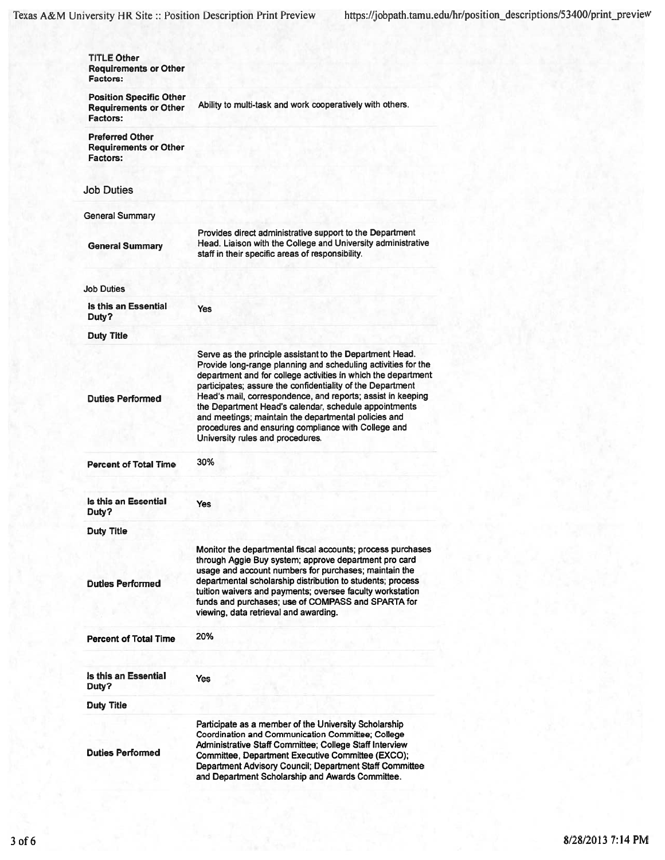| <b>TITLE Other</b><br><b>Requirements or Other</b><br><b>Factors:</b>             |                                                                                                                                                                                                                                                                                                                                                                                                                                                                                                                                     |
|-----------------------------------------------------------------------------------|-------------------------------------------------------------------------------------------------------------------------------------------------------------------------------------------------------------------------------------------------------------------------------------------------------------------------------------------------------------------------------------------------------------------------------------------------------------------------------------------------------------------------------------|
| <b>Position Specific Other</b><br><b>Requirements or Other</b><br><b>Factors:</b> | Ability to multi-task and work cooperatively with others.                                                                                                                                                                                                                                                                                                                                                                                                                                                                           |
| <b>Preferred Other</b><br><b>Requirements or Other</b><br><b>Factors:</b>         |                                                                                                                                                                                                                                                                                                                                                                                                                                                                                                                                     |
| <b>Job Duties</b>                                                                 |                                                                                                                                                                                                                                                                                                                                                                                                                                                                                                                                     |
| <b>General Summary</b>                                                            |                                                                                                                                                                                                                                                                                                                                                                                                                                                                                                                                     |
| <b>General Summary</b>                                                            | Provides direct administrative support to the Department<br>Head. Liaison with the College and University administrative<br>staff in their specific areas of responsibility.                                                                                                                                                                                                                                                                                                                                                        |
| <b>Job Duties</b>                                                                 |                                                                                                                                                                                                                                                                                                                                                                                                                                                                                                                                     |
| Is this an Essential<br>Duty?                                                     | <b>Yes</b>                                                                                                                                                                                                                                                                                                                                                                                                                                                                                                                          |
| <b>Duty Title</b>                                                                 |                                                                                                                                                                                                                                                                                                                                                                                                                                                                                                                                     |
| <b>Duties Performed</b>                                                           | Serve as the principle assistant to the Department Head.<br>Provide long-range planning and scheduling activities for the<br>department and for college activities in which the department<br>participates; assure the confidentiality of the Department<br>Head's mail, correspondence, and reports; assist in keeping<br>the Department Head's calendar, schedule appointments<br>and meetings; maintain the departmental policies and<br>procedures and ensuring compliance with College and<br>University rules and procedures. |
| <b>Percent of Total Time</b>                                                      | 30%                                                                                                                                                                                                                                                                                                                                                                                                                                                                                                                                 |
| Is this an Essential<br>Duty?                                                     | Yes                                                                                                                                                                                                                                                                                                                                                                                                                                                                                                                                 |
| <b>Duty Title</b>                                                                 |                                                                                                                                                                                                                                                                                                                                                                                                                                                                                                                                     |
| <b>Duties Performed</b>                                                           | Monitor the departmental fiscal accounts; process purchases<br>through Aggie Buy system; approve department pro card<br>usage and account numbers for purchases; maintain the<br>departmental scholarship distribution to students; process<br>tuition waivers and payments; oversee faculty workstation<br>funds and purchases; use of COMPASS and SPARTA for<br>viewing, data retrieval and awarding.                                                                                                                             |
| <b>Percent of Total Time</b>                                                      | 20%                                                                                                                                                                                                                                                                                                                                                                                                                                                                                                                                 |
| Is this an Essential<br>Duty?                                                     | <b>Yes</b>                                                                                                                                                                                                                                                                                                                                                                                                                                                                                                                          |
| <b>Duty Title</b>                                                                 |                                                                                                                                                                                                                                                                                                                                                                                                                                                                                                                                     |
| <b>Duties Performed</b>                                                           | Participate as a member of the University Scholarship<br>Coordination and Communication Committee; College<br>Administrative Staff Committee; College Staff Interview<br>Committee, Department Executive Committee (EXCO);<br>Department Advisory Council; Department Staff Committee<br>and Denartment Scholarshin and Awards Committee                                                                                                                                                                                            |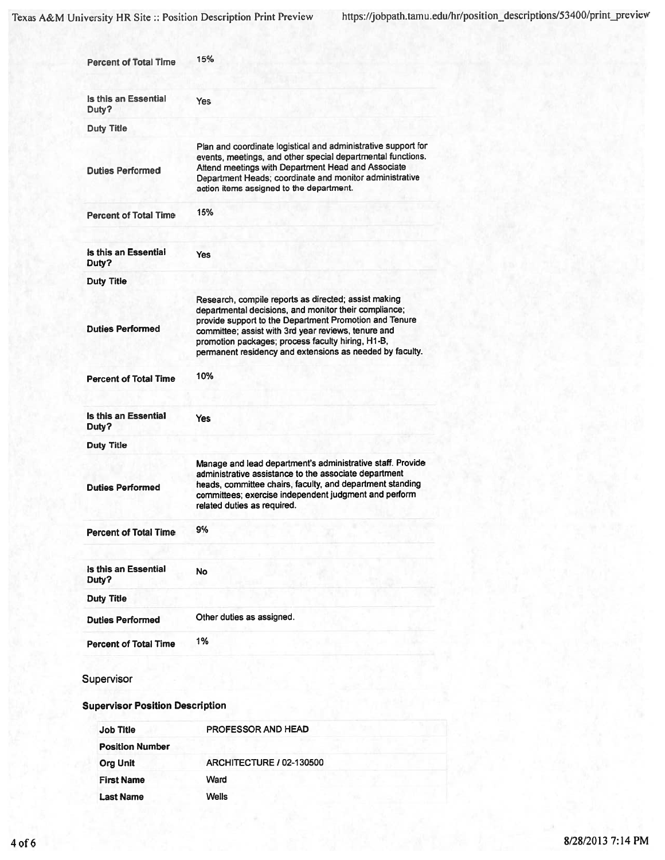| <b>Percent of Total Time</b>  | 15%                                                                                                                                                                                                                                                                                                                                             |
|-------------------------------|-------------------------------------------------------------------------------------------------------------------------------------------------------------------------------------------------------------------------------------------------------------------------------------------------------------------------------------------------|
| Is this an Essential<br>Duty? | Yes                                                                                                                                                                                                                                                                                                                                             |
| <b>Duty Title</b>             |                                                                                                                                                                                                                                                                                                                                                 |
| <b>Duties Performed</b>       | Plan and coordinate logistical and administrative support for<br>events, meetings, and other special departmental functions.<br>Attend meetings with Department Head and Associate<br>Department Heads; coordinate and monitor administrative<br>action items assigned to the department.                                                       |
| <b>Percent of Total Time</b>  | 15%                                                                                                                                                                                                                                                                                                                                             |
| Is this an Essential<br>Duty? | Yes                                                                                                                                                                                                                                                                                                                                             |
| <b>Duty Title</b>             |                                                                                                                                                                                                                                                                                                                                                 |
| <b>Duties Performed</b>       | Research, compile reports as directed; assist making<br>departmental decisions, and monitor their compliance;<br>provide support to the Department Promotion and Tenure<br>committee; assist with 3rd year reviews, tenure and<br>promotion packages; process faculty hiring, H1-B,<br>permanent residency and extensions as needed by faculty. |
| <b>Percent of Total Time</b>  | 10%                                                                                                                                                                                                                                                                                                                                             |
| Is this an Essential<br>Duty? | Yes                                                                                                                                                                                                                                                                                                                                             |
| <b>Duty Title</b>             |                                                                                                                                                                                                                                                                                                                                                 |
| <b>Duties Performed</b>       | Manage and lead department's administrative staff. Provide<br>administrative assistance to the associate department<br>heads, committee chairs, faculty, and department standing<br>committees; exercise independent judgment and perform<br>related duties as required.                                                                        |
| <b>Percent of Total Time</b>  | 9%                                                                                                                                                                                                                                                                                                                                              |
| Is this an Essential<br>Duty? | No                                                                                                                                                                                                                                                                                                                                              |
| <b>Duty Title</b>             |                                                                                                                                                                                                                                                                                                                                                 |
| <b>Duties Performed</b>       | Other duties as assigned.                                                                                                                                                                                                                                                                                                                       |
| <b>Percent of Total Time</b>  | 1%                                                                                                                                                                                                                                                                                                                                              |
|                               |                                                                                                                                                                                                                                                                                                                                                 |

# Supervisor

# **Supervisor Position Description**

| <b>Job Title</b>       | <b>PROFESSOR AND HEAD</b>       |
|------------------------|---------------------------------|
| <b>Position Number</b> |                                 |
| <b>Org Unit</b>        | <b>ARCHITECTURE / 02-130500</b> |
| <b>First Name</b>      | Ward                            |
| <b>Last Name</b>       | Wells                           |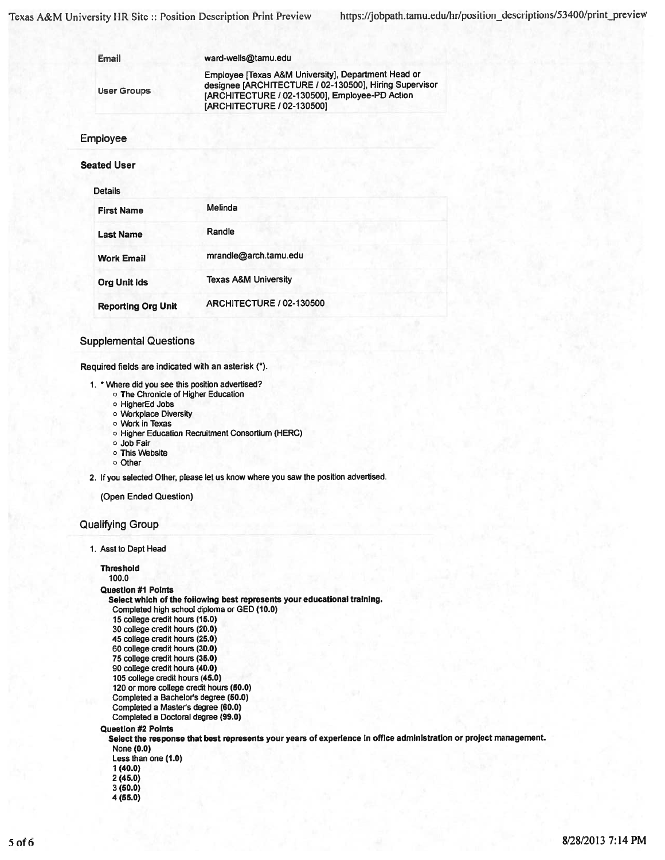| Email               | ward-wells@tamu.edu                                                                                                                                                                           |
|---------------------|-----------------------------------------------------------------------------------------------------------------------------------------------------------------------------------------------|
| <b>User Groups</b>  | Employee [Texas A&M University], Department Head or<br>designee [ARCHITECTURE / 02-130500], Hiring Supervisor<br>[ARCHITECTURE / 02-130500], Employee-PD Action<br>[ARCHITECTURE / 02-130500] |
| Employee            |                                                                                                                                                                                               |
| <b>Seated User</b>  |                                                                                                                                                                                               |
| <b>Details</b>      |                                                                                                                                                                                               |
| <b>First Name</b>   | Melinda                                                                                                                                                                                       |
| <b>Last Name</b>    | Randle                                                                                                                                                                                        |
| <b>Work Email</b>   | mrandle@arch.tamu.edu                                                                                                                                                                         |
| <b>Org Unit Ids</b> | <b>Texas A&amp;M University</b>                                                                                                                                                               |
|                     |                                                                                                                                                                                               |

**ARCHITECTURE / 02-130500** 

#### **Supplemental Questions**

**Reporting Org Unit** 

Required fields are indicated with an asterisk (\*).

- 1. \* Where did you see this position advertised?
	- o The Chronicle of Higher Education
	- o HigherEd Jobs
	- o Workplace Diversity
	- o Work in Texas
	- o Higher Education Recruitment Consortium (HERC)
	- o Job Fair
	- o This Website o Other
- 2. If you selected Other, please let us know where you saw the position advertised.

(Open Ended Question)

#### **Qualifying Group**

```
1. Asst to Dept Head
```
#### **Threshold**

# 100.0

**Question #1 Points** Select which of the following best represents your educational training. Completed high school diploma or GED (10.0) 15 college credit hours (15.0) 30 college credit hours (20.0) 45 college credit hours (25.0) 60 college credit hours (30.0) 75 college credit hours (35.0) 90 college credit hours (40.0) 105 college credit hours (45.0) 120 or more college credit hours (50.0) Completed a Bachelor's degree (50.0) Completed a Master's degree (60.0) Completed a Doctoral degree (99.0) **Question #2 Points** 

Select the response that best represents your years of experience in office administration or project management. None (0.0)

Less than one (1.0)  $1(40.0)$  $2(45.0)$  $3(50.0)$  $4(55.0)$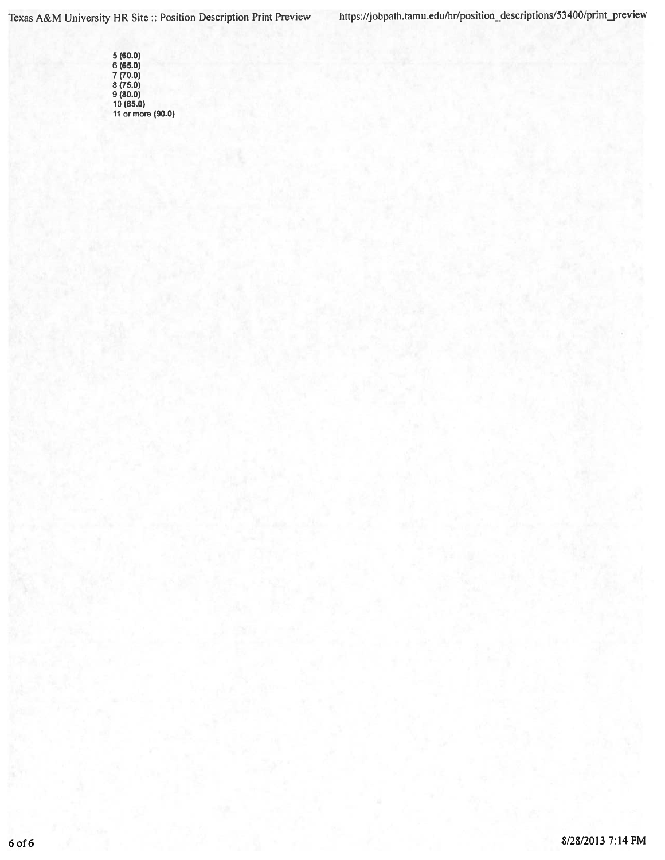5 (60.0)<br>6 (65.0)<br>7 (70.0)<br>8 (75.0)<br>9 (80.0)<br>10 (85.0)<br>11 or more (90.0)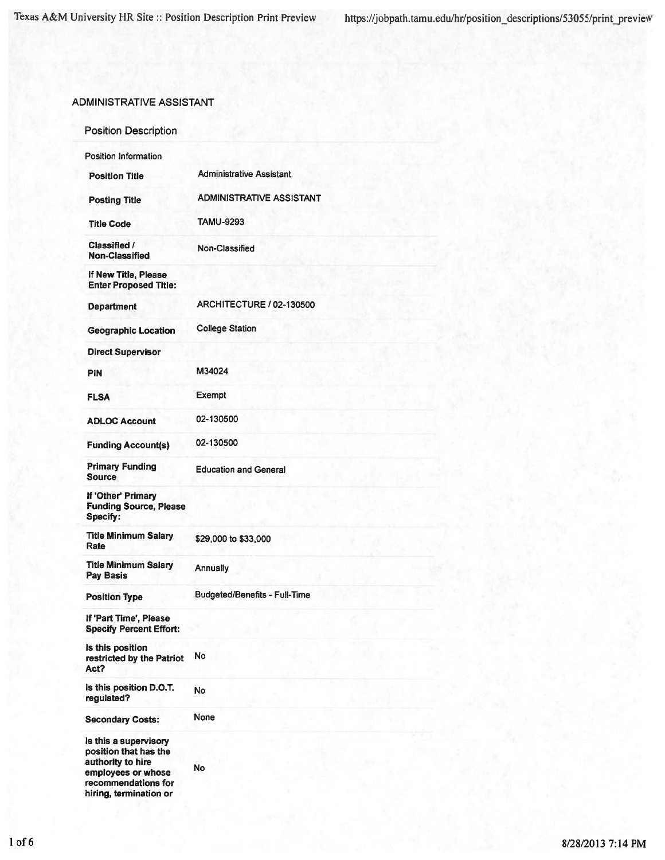# **ADMINISTRATIVE ASSISTANT**

**Position Description** 

| Position Information                                                                                                                       |                                 |
|--------------------------------------------------------------------------------------------------------------------------------------------|---------------------------------|
| <b>Position Title</b>                                                                                                                      | <b>Administrative Assistant</b> |
| <b>Posting Title</b>                                                                                                                       | ADMINISTRATIVE ASSISTANT        |
| <b>Title Code</b>                                                                                                                          | <b>TAMU-9293</b>                |
| Classified /<br>Non-Classified                                                                                                             | Non-Classified                  |
| If New Title, Please<br><b>Enter Proposed Title:</b>                                                                                       |                                 |
| <b>Department</b>                                                                                                                          | <b>ARCHITECTURE / 02-130500</b> |
| <b>Geographic Location</b>                                                                                                                 | <b>College Station</b>          |
| <b>Direct Supervisor</b>                                                                                                                   |                                 |
| <b>PIN</b>                                                                                                                                 | M34024                          |
| <b>FLSA</b>                                                                                                                                | Exempt                          |
| <b>ADLOC Account</b>                                                                                                                       | 02-130500                       |
| <b>Funding Account(s)</b>                                                                                                                  | 02-130500                       |
| <b>Primary Funding</b><br><b>Source</b>                                                                                                    | <b>Education and General</b>    |
| If 'Other' Primary<br><b>Funding Source, Please</b><br>Specify:                                                                            |                                 |
| <b>Title Minimum Salary</b><br>Rate                                                                                                        | \$29,000 to \$33,000            |
| <b>Title Minimum Salary</b><br><b>Pay Basis</b>                                                                                            | Annually                        |
| <b>Position Type</b>                                                                                                                       | Budgeted/Benefits - Full-Time   |
| If 'Part Time', Please<br><b>Specify Percent Effort:</b>                                                                                   |                                 |
| Is this position<br>restricted by the Patriot<br>Act?                                                                                      | No                              |
| Is this position D.O.T.<br>regulated?                                                                                                      | No                              |
| <b>Secondary Costs:</b>                                                                                                                    | None                            |
| is this a supervisory<br>position that has the<br>authority to hire<br>employees or whose<br>recommendations for<br>hiring, termination or | No                              |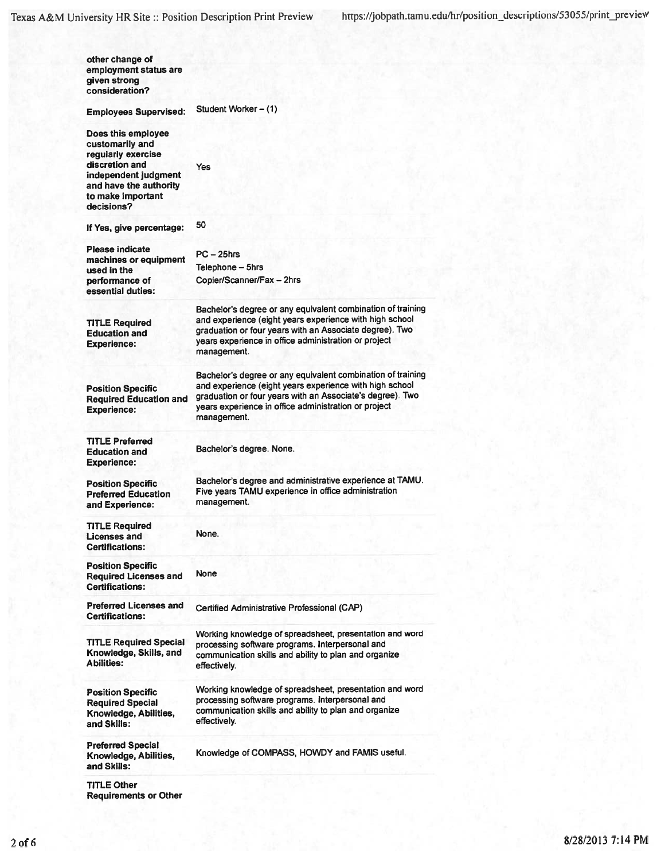| other change of                                        |                                                                                                                      |
|--------------------------------------------------------|----------------------------------------------------------------------------------------------------------------------|
| employment status are                                  |                                                                                                                      |
| given strong<br>consideration?                         |                                                                                                                      |
|                                                        |                                                                                                                      |
| <b>Employees Supervised:</b>                           | Student Worker - (1)                                                                                                 |
| Does this employee                                     |                                                                                                                      |
| customarily and                                        |                                                                                                                      |
| regularly exercise                                     |                                                                                                                      |
| discretion and                                         | Yes                                                                                                                  |
| independent judgment                                   |                                                                                                                      |
| and have the authority<br>to make important            |                                                                                                                      |
| decisions?                                             |                                                                                                                      |
|                                                        |                                                                                                                      |
| If Yes, give percentage:                               | 50                                                                                                                   |
|                                                        |                                                                                                                      |
| <b>Please indicate</b><br>machines or equipment        | $PC - 25$ hrs                                                                                                        |
| used in the                                            | Telephone - 5hrs                                                                                                     |
| performance of                                         | Copier/Scanner/Fax - 2hrs                                                                                            |
| essential duties:                                      |                                                                                                                      |
|                                                        | Bachelor's degree or any equivalent combination of training                                                          |
|                                                        | and experience (eight years experience with high school                                                              |
| <b>TITLE Required</b><br><b>Education and</b>          | graduation or four years with an Associate degree). Two                                                              |
| <b>Experience:</b>                                     | years experience in office administration or project                                                                 |
|                                                        | management.                                                                                                          |
|                                                        |                                                                                                                      |
|                                                        | Bachelor's degree or any equivalent combination of training                                                          |
| <b>Position Specific</b>                               | and experience (eight years experience with high school<br>graduation or four years with an Associate's degree). Two |
| <b>Required Education and</b>                          | years experience in office administration or project                                                                 |
| <b>Experience:</b>                                     | management.                                                                                                          |
|                                                        |                                                                                                                      |
| <b>TITLE Preferred</b>                                 |                                                                                                                      |
| <b>Education and</b>                                   | Bachelor's degree. None.                                                                                             |
| <b>Experience:</b>                                     |                                                                                                                      |
| <b>Position Specific</b>                               | Bachelor's degree and administrative experience at TAMU.                                                             |
| <b>Preferred Education</b>                             | Five years TAMU experience in office administration                                                                  |
| and Experience:                                        | management.                                                                                                          |
|                                                        |                                                                                                                      |
| <b>TITLE Required</b>                                  | none.                                                                                                                |
| <b>Licenses and</b><br><b>Certifications:</b>          |                                                                                                                      |
|                                                        |                                                                                                                      |
| <b>Position Specific</b>                               | None                                                                                                                 |
| <b>Required Licenses and</b><br><b>Certifications:</b> |                                                                                                                      |
|                                                        |                                                                                                                      |
| <b>Preferred Licenses and</b>                          | Certified Administrative Professional (CAP)                                                                          |
| <b>Certifications:</b>                                 |                                                                                                                      |
|                                                        | Working knowledge of spreadsheet, presentation and word                                                              |
| <b>TITLE Required Special</b>                          | processing software programs. Interpersonal and                                                                      |
| Knowledge, Skills, and                                 | communication skills and ability to plan and organize                                                                |
| <b>Abilities:</b>                                      | effectively.                                                                                                         |
|                                                        |                                                                                                                      |
| <b>Position Specific</b>                               | Working knowledge of spreadsheet, presentation and word<br>processing software programs. Interpersonal and           |
| <b>Required Special</b>                                | communication skills and ability to plan and organize                                                                |
| Knowledge, Abilities,<br>and Skills:                   | effectively.                                                                                                         |
|                                                        |                                                                                                                      |
| <b>Preferred Special</b>                               |                                                                                                                      |
| Knowledge, Abilities,                                  | Knowledge of COMPASS, HOWDY and FAMIS useful.                                                                        |
| and Skills:                                            |                                                                                                                      |
| <b>TITLE Other</b>                                     |                                                                                                                      |
| <b>Requirements or Other</b>                           |                                                                                                                      |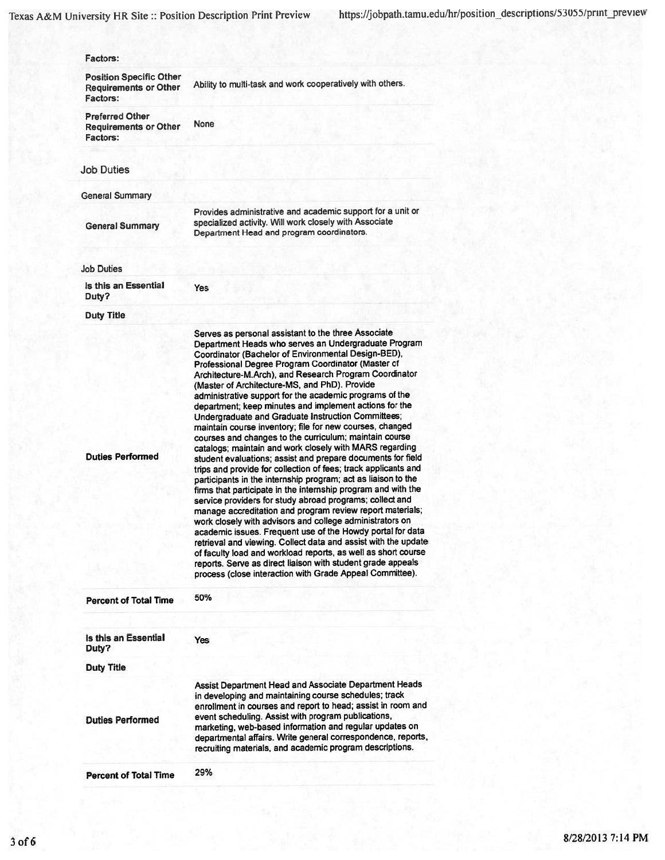| <b>Factors:</b>                                                                   |                                                                                                                                                                                                                                                                                                                                                                                                                                                                                                                                                                                                                                                                                                                                                                                                                                                                                                                                                                                                                                                                                                                                                                                                                                                                                                                                                                                                                                                                                     |
|-----------------------------------------------------------------------------------|-------------------------------------------------------------------------------------------------------------------------------------------------------------------------------------------------------------------------------------------------------------------------------------------------------------------------------------------------------------------------------------------------------------------------------------------------------------------------------------------------------------------------------------------------------------------------------------------------------------------------------------------------------------------------------------------------------------------------------------------------------------------------------------------------------------------------------------------------------------------------------------------------------------------------------------------------------------------------------------------------------------------------------------------------------------------------------------------------------------------------------------------------------------------------------------------------------------------------------------------------------------------------------------------------------------------------------------------------------------------------------------------------------------------------------------------------------------------------------------|
| <b>Position Specific Other</b><br><b>Requirements or Other</b><br><b>Factors:</b> | Ability to multi-task and work cooperatively with others.                                                                                                                                                                                                                                                                                                                                                                                                                                                                                                                                                                                                                                                                                                                                                                                                                                                                                                                                                                                                                                                                                                                                                                                                                                                                                                                                                                                                                           |
| <b>Preferred Other</b><br><b>Requirements or Other</b><br><b>Factors:</b>         | None                                                                                                                                                                                                                                                                                                                                                                                                                                                                                                                                                                                                                                                                                                                                                                                                                                                                                                                                                                                                                                                                                                                                                                                                                                                                                                                                                                                                                                                                                |
| <b>Job Duties</b>                                                                 |                                                                                                                                                                                                                                                                                                                                                                                                                                                                                                                                                                                                                                                                                                                                                                                                                                                                                                                                                                                                                                                                                                                                                                                                                                                                                                                                                                                                                                                                                     |
| <b>General Summary</b>                                                            |                                                                                                                                                                                                                                                                                                                                                                                                                                                                                                                                                                                                                                                                                                                                                                                                                                                                                                                                                                                                                                                                                                                                                                                                                                                                                                                                                                                                                                                                                     |
| <b>General Summary</b>                                                            | Provides administrative and academic support for a unit or<br>specialized activity. Will work closely with Associate<br>Department Head and program coordinators.                                                                                                                                                                                                                                                                                                                                                                                                                                                                                                                                                                                                                                                                                                                                                                                                                                                                                                                                                                                                                                                                                                                                                                                                                                                                                                                   |
| <b>Job Duties</b>                                                                 |                                                                                                                                                                                                                                                                                                                                                                                                                                                                                                                                                                                                                                                                                                                                                                                                                                                                                                                                                                                                                                                                                                                                                                                                                                                                                                                                                                                                                                                                                     |
| Is this an Essential<br>Duty?                                                     | <b>Yes</b>                                                                                                                                                                                                                                                                                                                                                                                                                                                                                                                                                                                                                                                                                                                                                                                                                                                                                                                                                                                                                                                                                                                                                                                                                                                                                                                                                                                                                                                                          |
| <b>Duty Title</b>                                                                 |                                                                                                                                                                                                                                                                                                                                                                                                                                                                                                                                                                                                                                                                                                                                                                                                                                                                                                                                                                                                                                                                                                                                                                                                                                                                                                                                                                                                                                                                                     |
| <b>Duties Performed</b>                                                           | Serves as personal assistant to the three Associate<br>Department Heads who serves an Undergraduate Program<br>Coordinator (Bachelor of Environmental Design-BED),<br>Professional Degree Program Coordinator (Master of<br>Architecture-M.Arch), and Research Program Coordinator<br>(Master of Architecture-MS, and PhD). Provide<br>administrative support for the academic programs of the<br>department; keep minutes and implement actions for the<br>Undergraduate and Graduate Instruction Committees;<br>maintain course inventory; file for new courses, changed<br>courses and changes to the curriculum; maintain course<br>catalogs; maintain and work closely with MARS regarding<br>student evaluations; assist and prepare documents for field<br>trips and provide for collection of fees; track applicants and<br>participants in the internship program; act as liaison to the<br>firms that participate in the internship program and with the<br>service providers for study abroad programs; collect and<br>manage accreditation and program review report materials;<br>work closely with advisors and college administrators on<br>academic issues. Frequent use of the Howdy portal for data<br>retrieval and viewing. Collect data and assist with the update<br>of faculty load and workload reports, as well as short course<br>reports. Serve as direct liaison with student grade appeals<br>process (close interaction with Grade Appeal Committee). |
| <b>Percent of Total Time</b>                                                      | 50%                                                                                                                                                                                                                                                                                                                                                                                                                                                                                                                                                                                                                                                                                                                                                                                                                                                                                                                                                                                                                                                                                                                                                                                                                                                                                                                                                                                                                                                                                 |
| Is this an Essential<br>Duty?                                                     | Yes                                                                                                                                                                                                                                                                                                                                                                                                                                                                                                                                                                                                                                                                                                                                                                                                                                                                                                                                                                                                                                                                                                                                                                                                                                                                                                                                                                                                                                                                                 |
| <b>Duty Title</b>                                                                 |                                                                                                                                                                                                                                                                                                                                                                                                                                                                                                                                                                                                                                                                                                                                                                                                                                                                                                                                                                                                                                                                                                                                                                                                                                                                                                                                                                                                                                                                                     |
| <b>Duties Performed</b>                                                           | Assist Department Head and Associate Department Heads<br>in developing and maintaining course schedules; track<br>enrollment in courses and report to head; assist in room and<br>event scheduling. Assist with program publications,<br>marketing, web-based information and regular updates on<br>departmental affairs. Write general correspondence, reports,<br>recruiting materials, and academic program descriptions.                                                                                                                                                                                                                                                                                                                                                                                                                                                                                                                                                                                                                                                                                                                                                                                                                                                                                                                                                                                                                                                        |
| <b>Percent of Total Time</b>                                                      | 29%                                                                                                                                                                                                                                                                                                                                                                                                                                                                                                                                                                                                                                                                                                                                                                                                                                                                                                                                                                                                                                                                                                                                                                                                                                                                                                                                                                                                                                                                                 |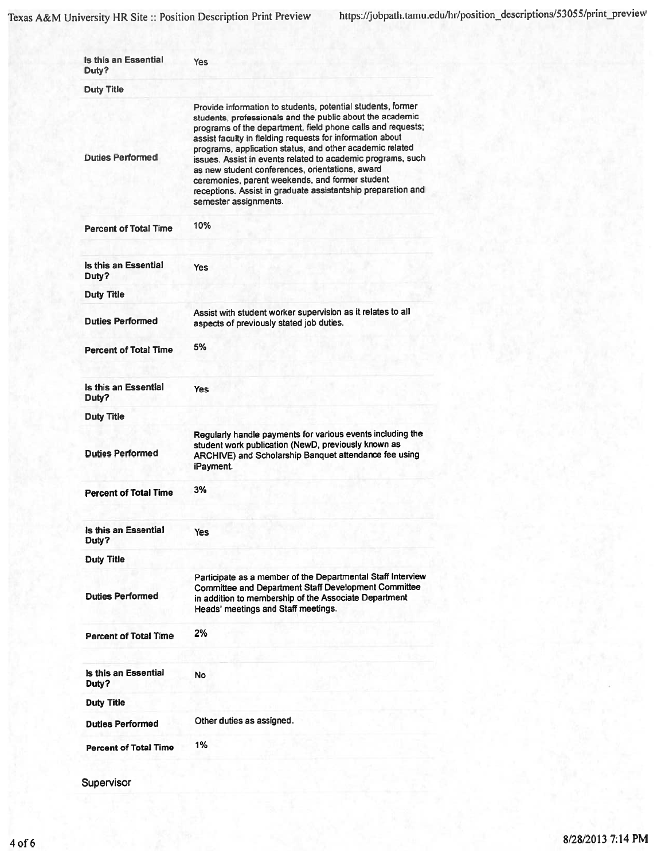| Is this an Essential<br>Duty? | Yes                                                                                                                                                                                                                                                                                                                                                                                                                                                                                                                                                                            |
|-------------------------------|--------------------------------------------------------------------------------------------------------------------------------------------------------------------------------------------------------------------------------------------------------------------------------------------------------------------------------------------------------------------------------------------------------------------------------------------------------------------------------------------------------------------------------------------------------------------------------|
| <b>Duty Title</b>             |                                                                                                                                                                                                                                                                                                                                                                                                                                                                                                                                                                                |
| <b>Duties Performed</b>       | Provide information to students, potential students, former<br>students, professionals and the public about the academic<br>programs of the department, field phone calls and requests;<br>assist faculty in fielding requests for information about<br>programs, application status, and other academic related<br>issues. Assist in events related to academic programs, such<br>as new student conferences, orientations, award<br>ceremonies, parent weekends, and former student<br>receptions. Assist in graduate assistantship preparation and<br>semester assignments. |
| <b>Percent of Total Time</b>  | 10%                                                                                                                                                                                                                                                                                                                                                                                                                                                                                                                                                                            |
| Is this an Essential<br>Duty? | <b>Yes</b>                                                                                                                                                                                                                                                                                                                                                                                                                                                                                                                                                                     |
| <b>Duty Title</b>             |                                                                                                                                                                                                                                                                                                                                                                                                                                                                                                                                                                                |
| <b>Duties Performed</b>       | Assist with student worker supervision as it relates to all<br>aspects of previously stated job duties.                                                                                                                                                                                                                                                                                                                                                                                                                                                                        |
| <b>Percent of Total Time</b>  | 5%                                                                                                                                                                                                                                                                                                                                                                                                                                                                                                                                                                             |
| Is this an Essential<br>Duty? | <b>Yes</b>                                                                                                                                                                                                                                                                                                                                                                                                                                                                                                                                                                     |
| <b>Duty Title</b>             |                                                                                                                                                                                                                                                                                                                                                                                                                                                                                                                                                                                |
| <b>Duties Performed</b>       | Regularly handle payments for various events including the<br>student work publication (NewD, previously known as<br>ARCHIVE) and Scholarship Banquet attendance fee using<br>iPayment.                                                                                                                                                                                                                                                                                                                                                                                        |
| <b>Percent of Total Time</b>  | 3%                                                                                                                                                                                                                                                                                                                                                                                                                                                                                                                                                                             |
| Is this an Essential<br>Duty? | Yes                                                                                                                                                                                                                                                                                                                                                                                                                                                                                                                                                                            |
| <b>Duty Title</b>             |                                                                                                                                                                                                                                                                                                                                                                                                                                                                                                                                                                                |
| <b>Duties Performed</b>       | Participate as a member of the Departmental Staff Interview<br><b>Committee and Department Staff Development Committee</b><br>in addition to membership of the Associate Department<br>Heads' meetings and Staff meetings.                                                                                                                                                                                                                                                                                                                                                     |
| <b>Percent of Total Time</b>  | 2%                                                                                                                                                                                                                                                                                                                                                                                                                                                                                                                                                                             |
| Is this an Essential<br>Duty? | No                                                                                                                                                                                                                                                                                                                                                                                                                                                                                                                                                                             |
| <b>Duty Title</b>             |                                                                                                                                                                                                                                                                                                                                                                                                                                                                                                                                                                                |
| <b>Duties Performed</b>       | Other duties as assigned.                                                                                                                                                                                                                                                                                                                                                                                                                                                                                                                                                      |
| <b>Percent of Total Time</b>  | 1%                                                                                                                                                                                                                                                                                                                                                                                                                                                                                                                                                                             |

Supervisor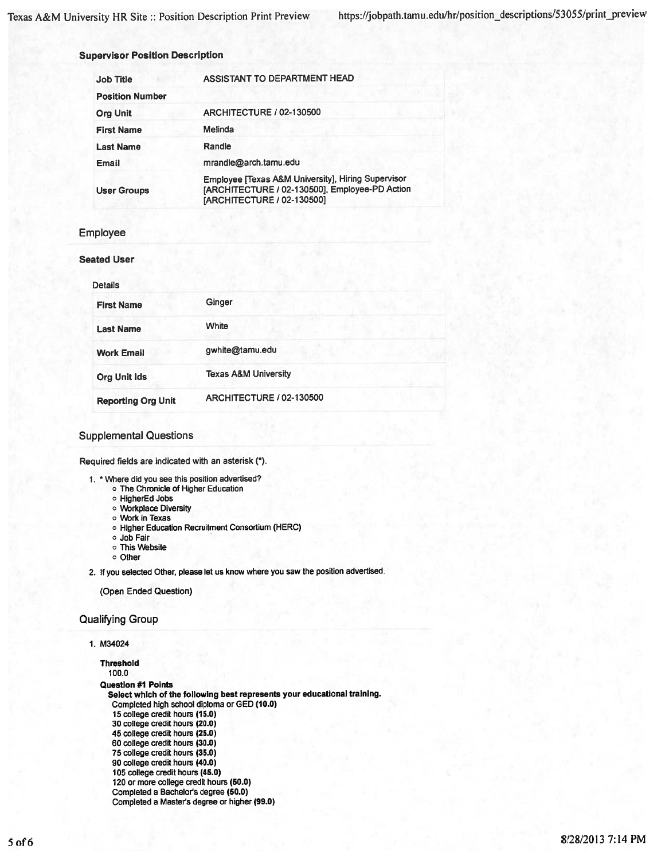#### **Supervisor Position Description**

| <b>Job Title</b>       | ASSISTANT TO DEPARTMENT HEAD                                                                                                              |
|------------------------|-------------------------------------------------------------------------------------------------------------------------------------------|
| <b>Position Number</b> |                                                                                                                                           |
| <b>Org Unit</b>        | <b>ARCHITECTURE / 02-130500</b>                                                                                                           |
| <b>First Name</b>      | Melinda                                                                                                                                   |
| <b>Last Name</b>       | Randle                                                                                                                                    |
| Email                  | mrandle@arch.tamu.edu                                                                                                                     |
| <b>User Groups</b>     | Employee [Texas A&M University], Hiring Supervisor<br>[ARCHITECTURE / 02-130500], Employee-PD Action<br><b>IARCHITECTURE / 02-130500]</b> |

## Employee

#### **Seated User**

| etail |
|-------|
|       |

| <b>First Name</b>         | Ginger                          |
|---------------------------|---------------------------------|
| <b>Last Name</b>          | White                           |
| <b>Work Email</b>         | gwhite@tamu.edu                 |
| <b>Org Unit Ids</b>       | <b>Texas A&amp;M University</b> |
| <b>Reporting Org Unit</b> | <b>ARCHITECTURE / 02-130500</b> |

## **Supplemental Questions**

Required fields are indicated with an asterisk (\*).

- 1. \* Where did you see this position advertised?<br>
 The Chronicle of Higher Education
	-
	- o HigherEd Jobs
	- o Workplace Diversity
	- o Work in Texas
	- o Higher Education Recruitment Consortium (HERC)
	- o Job Fair
	- o This Website
	- o Other
- 2. If you selected Other, please let us know where you saw the position advertised.

(Open Ended Question)

### **Qualifying Group**

### 1. M34024

**Threshold** 100.0

**Question #1 Points** 

Select which of the following best represents your educational training. Completed high school diploma or GED (10.0) 15 college credit hours (15.0) 30 college credit hours (20.0) 45 college credit hours (25.0) 60 college credit hours (30.0) 75 college credit hours (35.0) 90 college credit hours (40.0) 105 college credit hours (45.0) 120 or more college credit hours (50.0) Completed a Bachelor's degree (50.0) Completed a Master's degree or higher (99.0)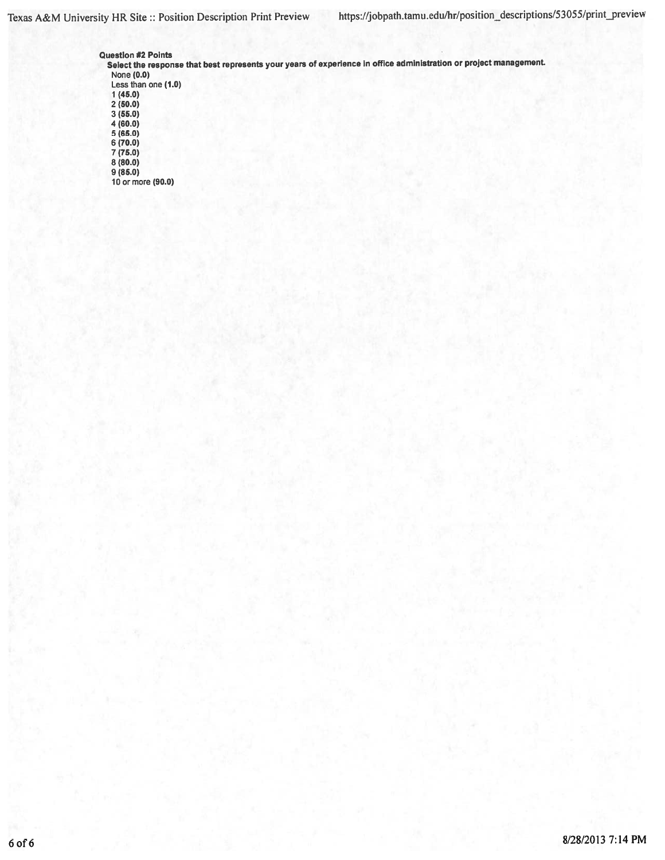Question #2 Points Select the response that best represents your years of experience in office administration or project management. None  $(0.0)$ <br>Less than one  $(1.0)$  $1(45.0)$  $2(50.0)$  $3(55.0)$  $4(60.0)$ <br>5 (65.0)  $6(70.0)$   $7(75.0)$   $8(80.0)$   $9(85.0)$   $10.85$ 

10 or more (90.0)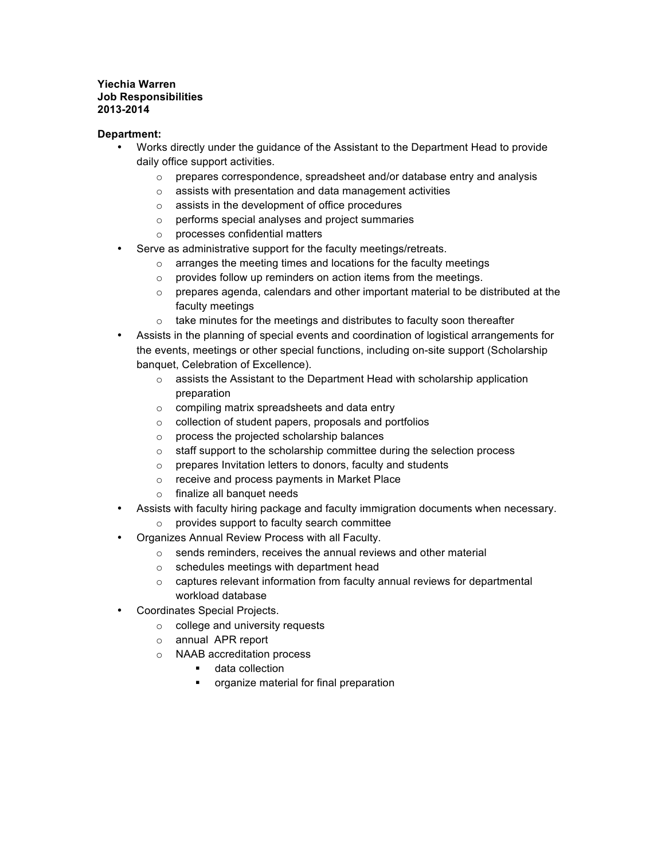## **Yiechia Warren Job Responsibilities 2013-2014**

# **Department:**

- Works directly under the guidance of the Assistant to the Department Head to provide daily office support activities.
	- o prepares correspondence, spreadsheet and/or database entry and analysis
	- o assists with presentation and data management activities
	- o assists in the development of office procedures
	- o performs special analyses and project summaries
	- o processes confidential matters
- Serve as administrative support for the faculty meetings/retreats.
	- o arranges the meeting times and locations for the faculty meetings
	- o provides follow up reminders on action items from the meetings.
	- $\circ$  prepares agenda, calendars and other important material to be distributed at the faculty meetings
	- $\circ$  take minutes for the meetings and distributes to faculty soon thereafter
- Assists in the planning of special events and coordination of logistical arrangements for the events, meetings or other special functions, including on-site support (Scholarship banquet, Celebration of Excellence).
	- o assists the Assistant to the Department Head with scholarship application preparation
	- o compiling matrix spreadsheets and data entry
	- o collection of student papers, proposals and portfolios
	- o process the projected scholarship balances
	- o staff support to the scholarship committee during the selection process
	- o prepares Invitation letters to donors, faculty and students
	- o receive and process payments in Market Place
	- o finalize all banquet needs
- Assists with faculty hiring package and faculty immigration documents when necessary.
	- o provides support to faculty search committee
- Organizes Annual Review Process with all Faculty.
	- o sends reminders, receives the annual reviews and other material
	- o schedules meetings with department head
	- o captures relevant information from faculty annual reviews for departmental workload database
- Coordinates Special Projects.
	- o college and university requests
	- o annual APR report
	- o NAAB accreditation process
		- data collection
		- § organize material for final preparation